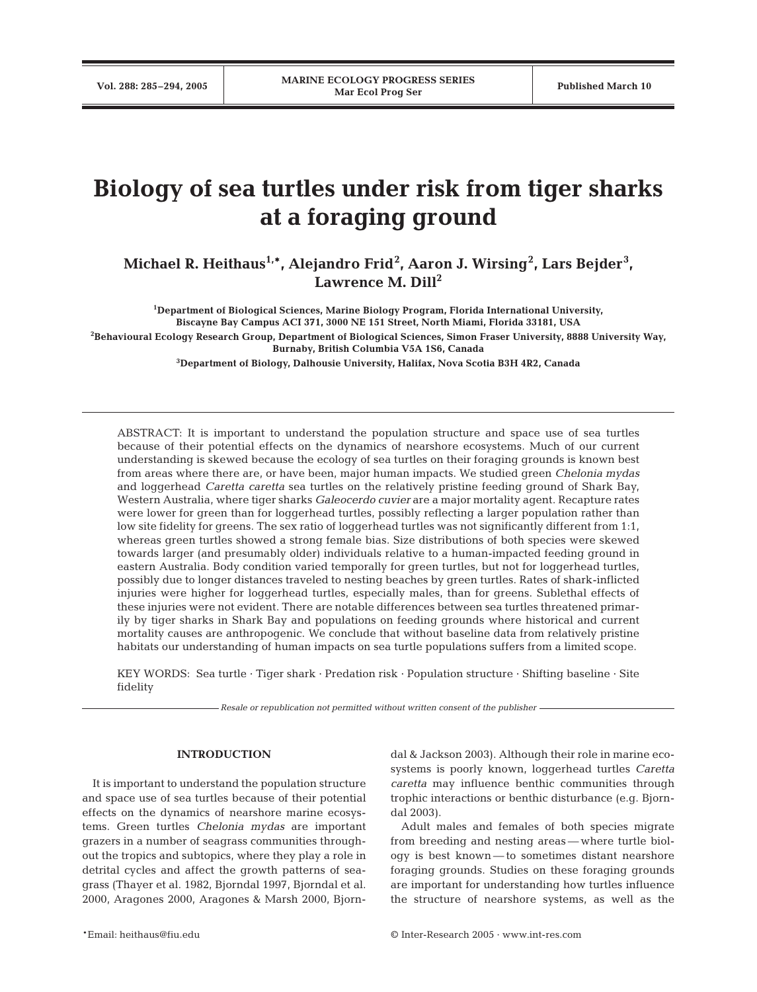# **Biology of sea turtles under risk from tiger sharks at a foraging ground**

**Michael R. Heithaus1,\*, Alejandro Frid2 , Aaron J. Wirsing<sup>2</sup> , Lars Bejder<sup>3</sup> ,**  Lawrence M. Dill<sup>2</sup>

**1 Department of Biological Sciences, Marine Biology Program, Florida International University, Biscayne Bay Campus ACI 371, 3000 NE 151 Street, North Miami, Florida 33181, USA**

**2 Behavioural Ecology Research Group, Department of Biological Sciences, Simon Fraser University, 8888 University Way, Burnaby, British Columbia V5A 1S6, Canada**

**3 Department of Biology, Dalhousie University, Halifax, Nova Scotia B3H 4R2, Canada**

ABSTRACT: It is important to understand the population structure and space use of sea turtles because of their potential effects on the dynamics of nearshore ecosystems. Much of our current understanding is skewed because the ecology of sea turtles on their foraging grounds is known best from areas where there are, or have been, major human impacts. We studied green *Chelonia mydas* and loggerhead *Caretta caretta* sea turtles on the relatively pristine feeding ground of Shark Bay, Western Australia, where tiger sharks *Galeocerdo cuvier* are a major mortality agent. Recapture rates were lower for green than for loggerhead turtles, possibly reflecting a larger population rather than low site fidelity for greens. The sex ratio of loggerhead turtles was not significantly different from 1:1, whereas green turtles showed a strong female bias. Size distributions of both species were skewed towards larger (and presumably older) individuals relative to a human-impacted feeding ground in eastern Australia. Body condition varied temporally for green turtles, but not for loggerhead turtles, possibly due to longer distances traveled to nesting beaches by green turtles. Rates of shark-inflicted injuries were higher for loggerhead turtles, especially males, than for greens. Sublethal effects of these injuries were not evident. There are notable differences between sea turtles threatened primarily by tiger sharks in Shark Bay and populations on feeding grounds where historical and current mortality causes are anthropogenic. We conclude that without baseline data from relatively pristine habitats our understanding of human impacts on sea turtle populations suffers from a limited scope.

KEY WORDS: Sea turtle · Tiger shark · Predation risk · Population structure · Shifting baseline · Site fidelity

*Resale or republication not permitted without written consent of the publisher*

## **INTRODUCTION**

It is important to understand the population structure and space use of sea turtles because of their potential effects on the dynamics of nearshore marine ecosystems. Green turtles *Chelonia mydas* are important grazers in a number of seagrass communities throughout the tropics and subtopics, where they play a role in detrital cycles and affect the growth patterns of seagrass (Thayer et al. 1982, Bjorndal 1997, Bjorndal et al. 2000, Aragones 2000, Aragones & Marsh 2000, Bjorndal & Jackson 2003). Although their role in marine ecosystems is poorly known, loggerhead turtles *Caretta caretta* may influence benthic communities through trophic interactions or benthic disturbance (e.g. Bjorndal 2003).

Adult males and females of both species migrate from breeding and nesting areas — where turtle biology is best known — to sometimes distant nearshore foraging grounds. Studies on these foraging grounds are important for understanding how turtles influence the structure of nearshore systems, as well as the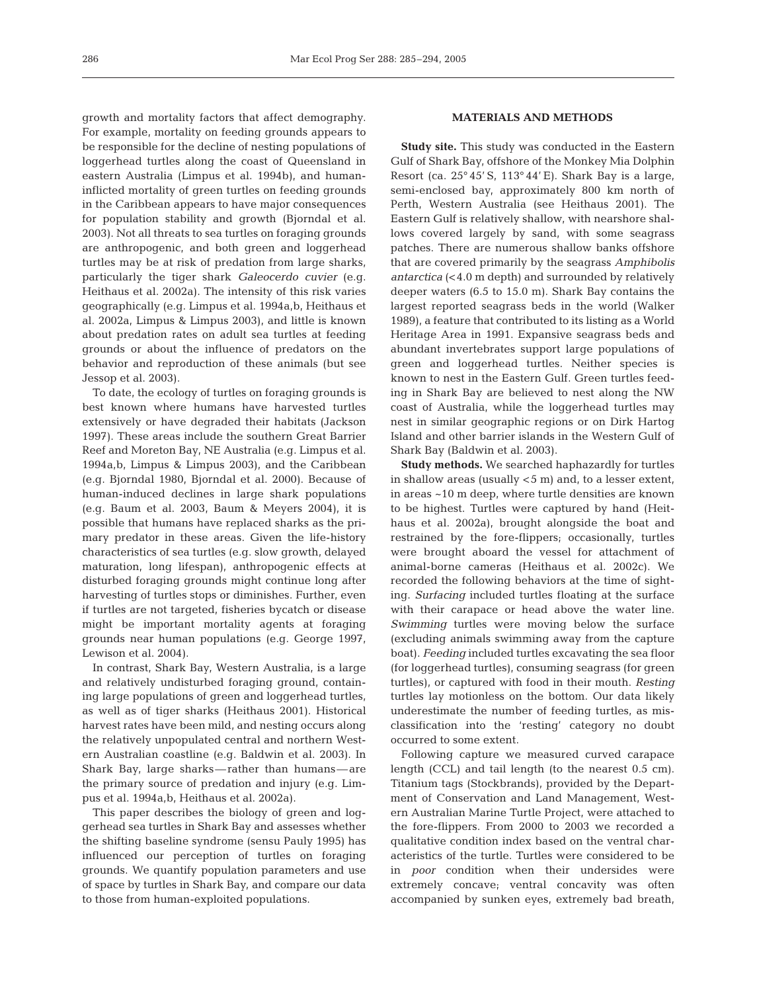growth and mortality factors that affect demography. For example, mortality on feeding grounds appears to be responsible for the decline of nesting populations of loggerhead turtles along the coast of Queensland in eastern Australia (Limpus et al. 1994b), and humaninflicted mortality of green turtles on feeding grounds in the Caribbean appears to have major consequences for population stability and growth (Bjorndal et al. 2003). Not all threats to sea turtles on foraging grounds are anthropogenic, and both green and loggerhead turtles may be at risk of predation from large sharks, particularly the tiger shark *Galeocerdo cuvier* (e.g. Heithaus et al. 2002a). The intensity of this risk varies geographically (e.g. Limpus et al. 1994a,b, Heithaus et al. 2002a, Limpus & Limpus 2003), and little is known about predation rates on adult sea turtles at feeding grounds or about the influence of predators on the behavior and reproduction of these animals (but see Jessop et al. 2003).

To date, the ecology of turtles on foraging grounds is best known where humans have harvested turtles extensively or have degraded their habitats (Jackson 1997). These areas include the southern Great Barrier Reef and Moreton Bay, NE Australia (e.g. Limpus et al. 1994a,b, Limpus & Limpus 2003), and the Caribbean (e.g. Bjorndal 1980, Bjorndal et al. 2000). Because of human-induced declines in large shark populations (e.g. Baum et al. 2003, Baum & Meyers 2004), it is possible that humans have replaced sharks as the primary predator in these areas. Given the life-history characteristics of sea turtles (e.g. slow growth, delayed maturation, long lifespan), anthropogenic effects at disturbed foraging grounds might continue long after harvesting of turtles stops or diminishes. Further, even if turtles are not targeted, fisheries bycatch or disease might be important mortality agents at foraging grounds near human populations (e.g. George 1997, Lewison et al. 2004).

In contrast, Shark Bay, Western Australia, is a large and relatively undisturbed foraging ground, containing large populations of green and loggerhead turtles, as well as of tiger sharks (Heithaus 2001). Historical harvest rates have been mild, and nesting occurs along the relatively unpopulated central and northern Western Australian coastline (e.g. Baldwin et al. 2003). In Shark Bay, large sharks—rather than humans—are the primary source of predation and injury (e.g. Limpus et al. 1994a,b, Heithaus et al. 2002a).

This paper describes the biology of green and loggerhead sea turtles in Shark Bay and assesses whether the shifting baseline syndrome (sensu Pauly 1995) has influenced our perception of turtles on foraging grounds. We quantify population parameters and use of space by turtles in Shark Bay, and compare our data to those from human-exploited populations.

# **MATERIALS AND METHODS**

**Study site.** This study was conducted in the Eastern Gulf of Shark Bay, offshore of the Monkey Mia Dolphin Resort (ca.  $25^{\circ}$  45' S, 113° 44' E). Shark Bay is a large, semi-enclosed bay, approximately 800 km north of Perth, Western Australia (see Heithaus 2001). The Eastern Gulf is relatively shallow, with nearshore shallows covered largely by sand, with some seagrass patches. There are numerous shallow banks offshore that are covered primarily by the seagrass *Amphibolis antarctica* (<4.0 m depth) and surrounded by relatively deeper waters (6.5 to 15.0 m). Shark Bay contains the largest reported seagrass beds in the world (Walker 1989), a feature that contributed to its listing as a World Heritage Area in 1991. Expansive seagrass beds and abundant invertebrates support large populations of green and loggerhead turtles. Neither species is known to nest in the Eastern Gulf. Green turtles feeding in Shark Bay are believed to nest along the NW coast of Australia, while the loggerhead turtles may nest in similar geographic regions or on Dirk Hartog Island and other barrier islands in the Western Gulf of Shark Bay (Baldwin et al. 2003).

**Study methods.** We searched haphazardly for turtles in shallow areas (usually <5 m) and, to a lesser extent, in areas ~10 m deep, where turtle densities are known to be highest. Turtles were captured by hand (Heithaus et al. 2002a), brought alongside the boat and restrained by the fore-flippers; occasionally, turtles were brought aboard the vessel for attachment of animal-borne cameras (Heithaus et al. 2002c). We recorded the following behaviors at the time of sighting. *Surfacing* included turtles floating at the surface with their carapace or head above the water line. *Swimming* turtles were moving below the surface (excluding animals swimming away from the capture boat). *Feeding* included turtles excavating the sea floor (for loggerhead turtles), consuming seagrass (for green turtles), or captured with food in their mouth. *Resting* turtles lay motionless on the bottom. Our data likely underestimate the number of feeding turtles, as misclassification into the 'resting' category no doubt occurred to some extent.

Following capture we measured curved carapace length (CCL) and tail length (to the nearest 0.5 cm). Titanium tags (Stockbrands), provided by the Department of Conservation and Land Management, Western Australian Marine Turtle Project, were attached to the fore-flippers. From 2000 to 2003 we recorded a qualitative condition index based on the ventral characteristics of the turtle. Turtles were considered to be in *poor* condition when their undersides were extremely concave; ventral concavity was often accompanied by sunken eyes, extremely bad breath,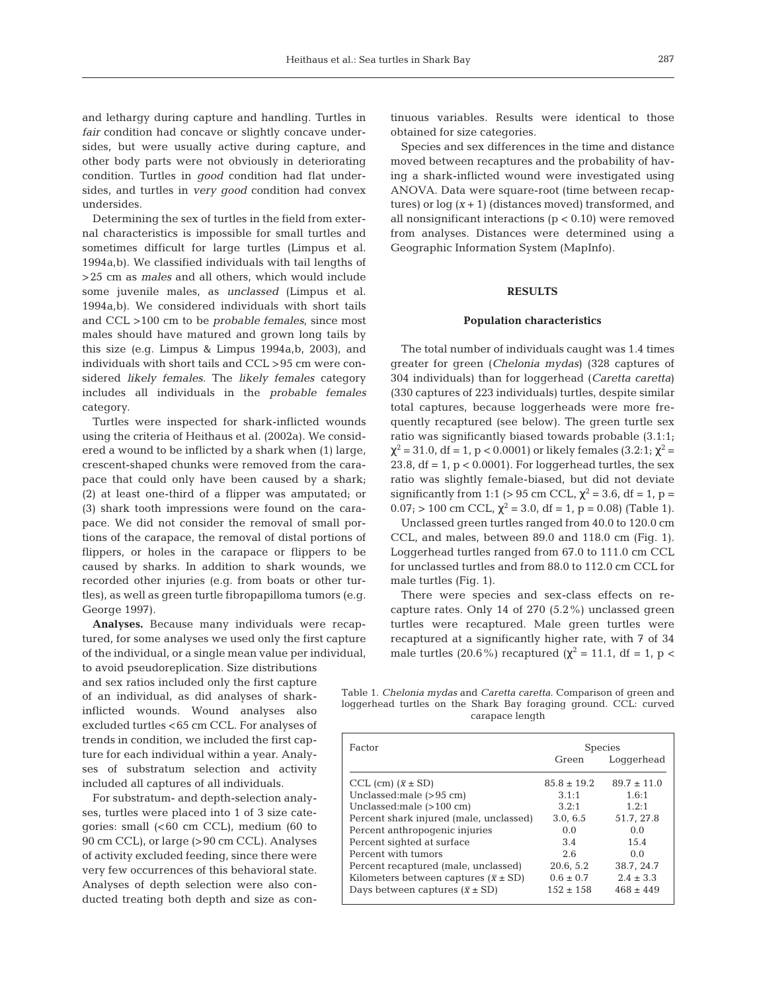and lethargy during capture and handling. Turtles in *fair* condition had concave or slightly concave undersides, but were usually active during capture, and other body parts were not obviously in deteriorating condition. Turtles in *good* condition had flat undersides, and turtles in *very good* condition had convex undersides.

Determining the sex of turtles in the field from external characteristics is impossible for small turtles and sometimes difficult for large turtles (Limpus et al. 1994a,b). We classified individuals with tail lengths of >25 cm as *males* and all others, which would include some juvenile males, as *unclassed* (Limpus et al. 1994a,b). We considered individuals with short tails and CCL >100 cm to be *probable females*, since most males should have matured and grown long tails by this size (e.g. Limpus & Limpus 1994a,b, 2003), and individuals with short tails and CCL >95 cm were considered *likely females*. The *likely females* category includes all individuals in the *probable females* category.

Turtles were inspected for shark-inflicted wounds using the criteria of Heithaus et al. (2002a). We considered a wound to be inflicted by a shark when (1) large, crescent-shaped chunks were removed from the carapace that could only have been caused by a shark; (2) at least one-third of a flipper was amputated; or (3) shark tooth impressions were found on the carapace. We did not consider the removal of small portions of the carapace, the removal of distal portions of flippers, or holes in the carapace or flippers to be caused by sharks. In addition to shark wounds, we recorded other injuries (e.g. from boats or other turtles), as well as green turtle fibropapilloma tumors (e.g. George 1997).

**Analyses.** Because many individuals were recaptured, for some analyses we used only the first capture of the individual, or a single mean value per individual,

to avoid pseudoreplication. Size distributions and sex ratios included only the first capture of an individual, as did analyses of sharkinflicted wounds. Wound analyses also excluded turtles <65 cm CCL. For analyses of trends in condition, we included the first capture for each individual within a year. Analyses of substratum selection and activity included all captures of all individuals.

For substratum- and depth-selection analyses, turtles were placed into 1 of 3 size categories: small (<60 cm CCL), medium (60 to 90 cm CCL), or large (>90 cm CCL). Analyses of activity excluded feeding, since there were very few occurrences of this behavioral state. Analyses of depth selection were also conducted treating both depth and size as continuous variables. Results were identical to those obtained for size categories.

Species and sex differences in the time and distance moved between recaptures and the probability of having a shark-inflicted wound were investigated using ANOVA. Data were square-root (time between recaptures) or  $log(x + 1)$  (distances moved) transformed, and all nonsignificant interactions  $(p < 0.10)$  were removed from analyses. Distances were determined using a Geographic Information System (MapInfo).

# **RESULTS**

#### **Population characteristics**

The total number of individuals caught was 1.4 times greater for green (*Chelonia mydas*) (328 captures of 304 individuals) than for loggerhead (*Caretta caretta*) (330 captures of 223 individuals) turtles, despite similar total captures, because loggerheads were more frequently recaptured (see below). The green turtle sex ratio was significantly biased towards probable (3.1:1;  $\chi^2$  = 31.0, df = 1, p < 0.0001) or likely females (3.2:1;  $\chi^2$  = 23.8,  $df = 1$ ,  $p < 0.0001$ ). For loggerhead turtles, the sex ratio was slightly female-biased, but did not deviate significantly from 1:1 (> 95 cm CCL,  $\chi^2$  = 3.6, df = 1, p =  $0.07$ ; > 100 cm CCL,  $\chi^2$  = 3.0, df = 1, p = 0.08) (Table 1).

Unclassed green turtles ranged from 40.0 to 120.0 cm CCL, and males, between 89.0 and 118.0 cm (Fig. 1). Loggerhead turtles ranged from 67.0 to 111.0 cm CCL for unclassed turtles and from 88.0 to 112.0 cm CCL for male turtles (Fig. 1).

There were species and sex-class effects on recapture rates. Only 14 of 270 (5.2%) unclassed green turtles were recaptured. Male green turtles were recaptured at a significantly higher rate, with 7 of 34 male turtles (20.6%) recaptured ( $\chi^2$  = 11.1, df = 1, p <

Table 1. *Chelonia mydas* and *Caretta caretta*. Comparison of green and loggerhead turtles on the Shark Bay foraging ground. CCL: curved carapace length

| Factor                                         | <b>Species</b>  |               |  |
|------------------------------------------------|-----------------|---------------|--|
|                                                | Green           | Loggerhead    |  |
| CCL (cm) $(\bar{x} \pm SD)$                    | $85.8 \pm 19.2$ | $89.7 + 11.0$ |  |
| Unclassed: male $(>95 \text{ cm})$             | 3.1:1           | 1.6:1         |  |
| Unclassed: male $(>100 \text{ cm})$            | 3.2:1           | 1.2:1         |  |
| Percent shark injured (male, unclassed)        | 3.0, 6.5        | 51.7, 27.8    |  |
| Percent anthropogenic injuries                 | 0.0             | 0.0           |  |
| Percent sighted at surface                     | 3.4             | 15.4          |  |
| Percent with tumors                            | 2.6             | 0.0           |  |
| Percent recaptured (male, unclassed)           | 20.6, 5.2       | 38.7, 24.7    |  |
| Kilometers between captures $(\bar{x} \pm SD)$ | $0.6 \pm 0.7$   | $2.4 \pm 3.3$ |  |
| Days between captures $(\bar{x} \pm SD)$       | $152 \pm 158$   | $468 \pm 449$ |  |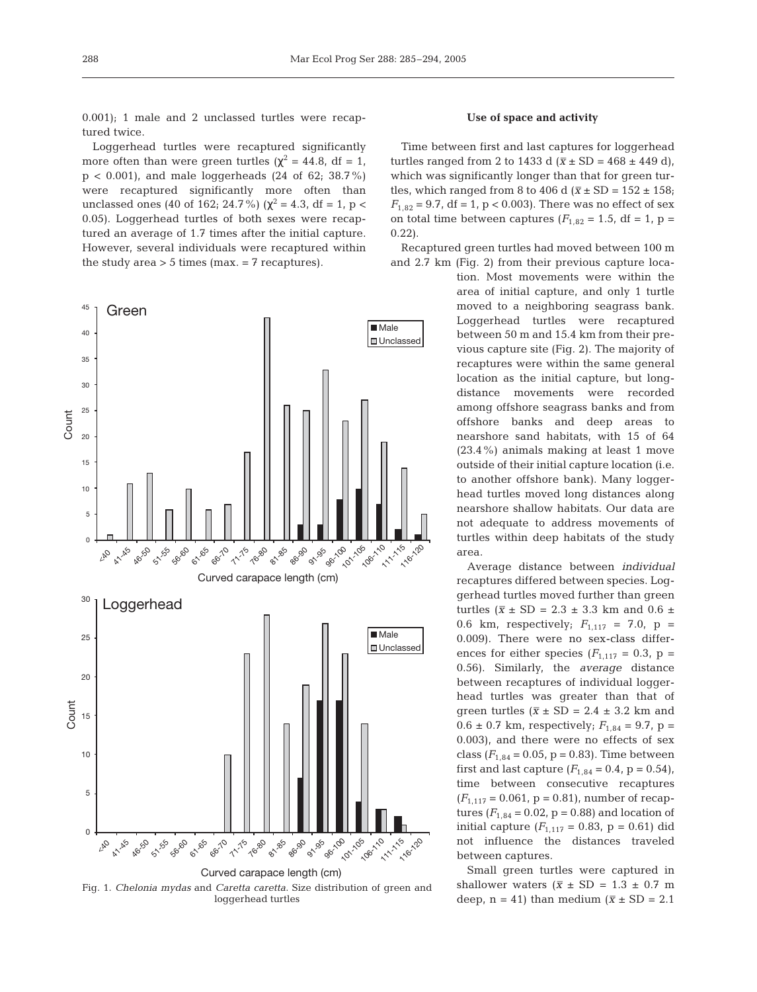0.001); 1 male and 2 unclassed turtles were recaptured twice.

Loggerhead turtles were recaptured significantly more often than were green turtles ( $\chi^2$  = 44.8, df = 1,  $p < 0.001$ , and male loggerheads (24 of 62; 38.7%) were recaptured significantly more often than unclassed ones (40 of 162; 24.7%) ( $\chi^2$  = 4.3, df = 1, p < 0.05). Loggerhead turtles of both sexes were recaptured an average of 1.7 times after the initial capture. However, several individuals were recaptured within the study area  $> 5$  times (max.  $= 7$  recaptures).



Fig. 1. *Chelonia mydas* and *Caretta caretta*. Size distribution of green and loggerhead turtles

# **Use of space and activity**

Time between first and last captures for loggerhead turtles ranged from 2 to 1433 d  $(\bar{x} \pm SD = 468 \pm 449 \text{ d})$ , which was significantly longer than that for green turtles, which ranged from 8 to 406 d ( $\bar{x}$  ± SD = 152 ± 158;  $F_{1,82} = 9.7$ , df = 1, p < 0.003). There was no effect of sex on total time between captures  $(F_{1,82} = 1.5, df = 1, p =$ 0.22).

Recaptured green turtles had moved between 100 m

and 2.7 km (Fig. 2) from their previous capture location. Most movements were within the area of initial capture, and only 1 turtle moved to a neighboring seagrass bank. Loggerhead turtles were recaptured between 50 m and 15.4 km from their previous capture site (Fig. 2). The majority of recaptures were within the same general location as the initial capture, but longdistance movements were recorded among offshore seagrass banks and from offshore banks and deep areas to nearshore sand habitats, with 15 of 64 (23.4%) animals making at least 1 move outside of their initial capture location (i.e. to another offshore bank). Many loggerhead turtles moved long distances along nearshore shallow habitats. Our data are not adequate to address movements of turtles within deep habitats of the study area.

> Average distance between *individual* recaptures differed between species. Loggerhead turtles moved further than green turtles ( $\bar{x} \pm SD = 2.3 \pm 3.3$  km and 0.6  $\pm$ 0.6 km, respectively;  $F_{1,117} = 7.0$ , p = 0.009). There were no sex-class differences for either species  $(F_{1,117} = 0.3, p =$ 0.56). Similarly, the *average* distance between recaptures of individual loggerhead turtles was greater than that of green turtles  $(\bar{x} \pm SD = 2.4 \pm 3.2 \text{ km and})$  $0.6 \pm 0.7$  km, respectively;  $F_{1,84} = 9.7$ , p = 0.003), and there were no effects of sex class  $(F_{1,84} = 0.05, p = 0.83)$ . Time between first and last capture  $(F_{1,84} = 0.4, p = 0.54)$ , time between consecutive recaptures  $(F_{1,117} = 0.061, p = 0.81)$ , number of recaptures  $(F_{1,84} = 0.02, p = 0.88)$  and location of initial capture  $(F_{1,117} = 0.83, p = 0.61)$  did not influence the distances traveled between captures.

> Small green turtles were captured in shallower waters  $(\bar{x} \pm SD = 1.3 \pm 0.7 \text{ m})$ deep,  $n = 41$ ) than medium ( $\bar{x} \pm SD = 2.1$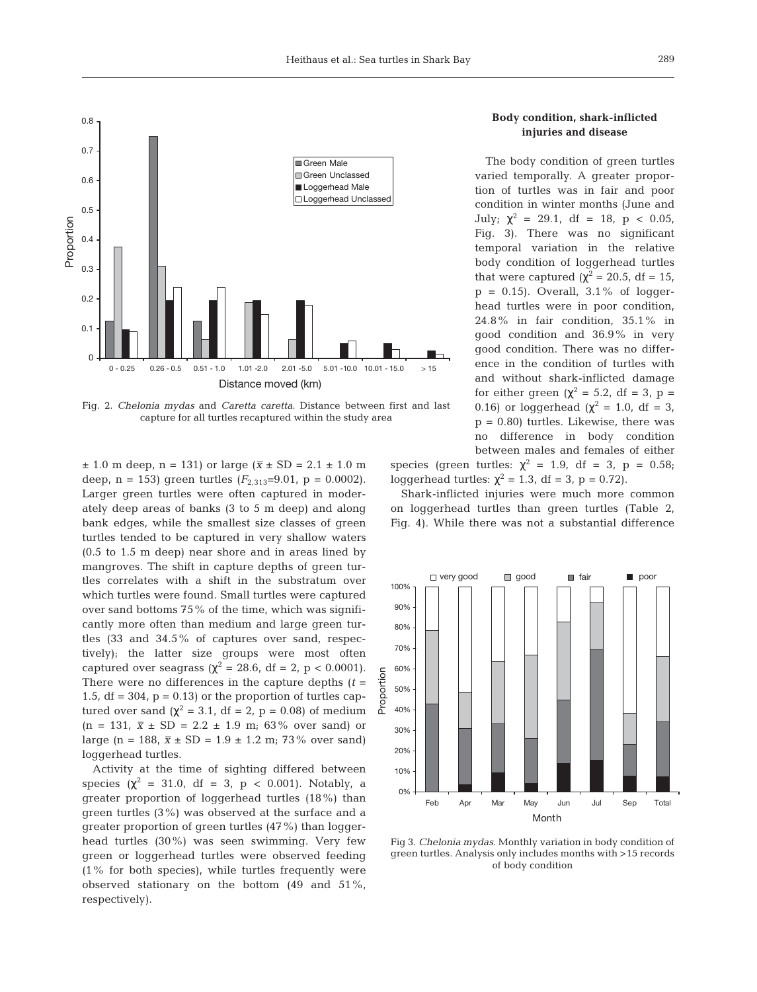

Fig. 2. *Chelonia mydas* and *Caretta caretta*. Distance between first and last capture for all turtles recaptured within the study area

 $\pm$  1.0 m deep, n = 131) or large ( $\bar{x} \pm SD = 2.1 \pm 1.0$  m deep,  $n = 153$ ) green turtles  $(F_{2,313}=9.01, p = 0.0002)$ . Larger green turtles were often captured in moderately deep areas of banks (3 to 5 m deep) and along bank edges, while the smallest size classes of green turtles tended to be captured in very shallow waters (0.5 to 1.5 m deep) near shore and in areas lined by mangroves. The shift in capture depths of green turtles correlates with a shift in the substratum over which turtles were found. Small turtles were captured over sand bottoms 75% of the time, which was significantly more often than medium and large green turtles (33 and 34.5% of captures over sand, respectively); the latter size groups were most often captured over seagrass ( $\chi^2 = 28.6$ , df = 2, p < 0.0001). There were no differences in the capture depths  $(t =$ 1.5,  $df = 304$ ,  $p = 0.13$  or the proportion of turtles captured over sand ( $\chi^2$  = 3.1, df = 2, p = 0.08) of medium  $(n = 131, \bar{x} \pm SD = 2.2 \pm 1.9 \text{ m}; 63\%$  over sand) or large (n = 188,  $\bar{x} \pm SD = 1.9 \pm 1.2$  m; 73% over sand) loggerhead turtles.

Activity at the time of sighting differed between species ( $\chi^2 = 31.0$ , df = 3, p < 0.001). Notably, a greater proportion of loggerhead turtles (18%) than green turtles (3%) was observed at the surface and a greater proportion of green turtles (47%) than loggerhead turtles (30%) was seen swimming. Very few green or loggerhead turtles were observed feeding (1% for both species), while turtles frequently were observed stationary on the bottom (49 and 51%, respectively).

# **Body condition, shark-inflicted injuries and disease**

The body condition of green turtles varied temporally. A greater proportion of turtles was in fair and poor condition in winter months (June and July;  $\chi^2 = 29.1$ , df = 18, p < 0.05, Fig. 3). There was no significant temporal variation in the relative body condition of loggerhead turtles that were captured ( $\chi^2$  = 20.5, df = 15,  $p = 0.15$ . Overall,  $3.1\%$  of loggerhead turtles were in poor condition, 24.8% in fair condition, 35.1% in good condition and 36.9% in very good condition. There was no difference in the condition of turtles with and without shark-inflicted damage for either green ( $\chi^2$  = 5.2, df = 3, p = 0.16) or loggerhead ( $\chi^2 = 1.0$ , df = 3,  $p = 0.80$ ) turtles. Likewise, there was no difference in body condition between males and females of either

species (green turtles:  $\chi^2 = 1.9$ , df = 3, p = 0.58; loggerhead turtles:  $\chi^2 = 1.3$ , df = 3, p = 0.72).

Shark-inflicted injuries were much more common on loggerhead turtles than green turtles (Table 2, Fig. 4). While there was not a substantial difference



Fig 3. *Chelonia mydas*. Monthly variation in body condition of green turtles. Analysis only includes months with >15 records of body condition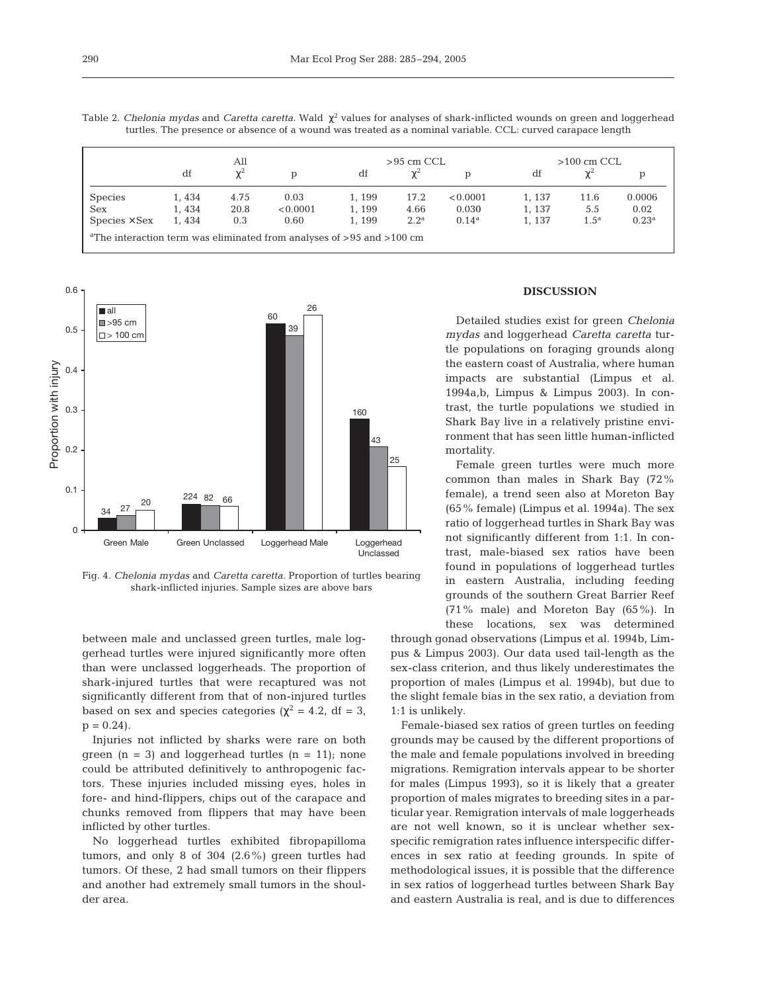|                                                                                         | All   |          |          | $>95$ cm CCL |                  |                | $>100 \text{ cm }$ CCL |         |                |
|-----------------------------------------------------------------------------------------|-------|----------|----------|--------------|------------------|----------------|------------------------|---------|----------------|
|                                                                                         | df    | $\chi^2$ |          | df           | $\chi^2$         | D              | df                     | χ       |                |
| <b>Species</b>                                                                          | 1,434 | 4.75     | 0.03     | 1, 199       | 17.2             | < 0.0001       | 1, 137                 | 11.6    | 0.0006         |
| <b>Sex</b>                                                                              | 1,434 | 20.8     | < 0.0001 | 1,199        | 4.66             | 0.030          | 1, 137                 | 5.5     | 0.02           |
| $Species \times Sex$                                                                    | 1,434 | 0.3      | 0.60     | 1, 199       | 2.2 <sup>a</sup> | $0.14^{\rm a}$ | 1, 137                 | $1.5^a$ | $0.23^{\rm a}$ |
| <sup>a</sup> The interaction term was eliminated from analyses of $> 95$ and $> 100$ cm |       |          |          |              |                  |                |                        |         |                |

Table 2. *Chelonia mydas* and *Caretta caretta*. Wald χ<sup>2</sup> values for analyses of shark-inflicted wounds on green and loggerhead turtles. The presence or absence of a wound was treated as a nominal variable. CCL: curved carapace length



Fig. 4. *Chelonia mydas* and *Caretta caretta*. Proportion of turtles bearing shark-inflicted injuries. Sample sizes are above bars

between male and unclassed green turtles, male loggerhead turtles were injured significantly more often than were unclassed loggerheads. The proportion of shark-injured turtles that were recaptured was not significantly different from that of non-injured turtles based on sex and species categories ( $\chi^2$  = 4.2, df = 3,  $p = 0.24$ .

Injuries not inflicted by sharks were rare on both green  $(n = 3)$  and loggerhead turtles  $(n = 11)$ ; none could be attributed definitively to anthropogenic factors. These injuries included missing eyes, holes in fore- and hind-flippers, chips out of the carapace and chunks removed from flippers that may have been inflicted by other turtles.

No loggerhead turtles exhibited fibropapilloma tumors, and only 8 of 304 (2.6%) green turtles had tumors. Of these, 2 had small tumors on their flippers and another had extremely small tumors in the shoulder area.

## **DISCUSSION**

Detailed studies exist for green *Chelonia mydas* and loggerhead *Caretta caretta* turtle populations on foraging grounds along the eastern coast of Australia, where human impacts are substantial (Limpus et al. 1994a,b, Limpus & Limpus 2003). In contrast, the turtle populations we studied in Shark Bay live in a relatively pristine environment that has seen little human-inflicted mortality.

Female green turtles were much more common than males in Shark Bay (72% female), a trend seen also at Moreton Bay (65% female) (Limpus et al. 1994a). The sex ratio of loggerhead turtles in Shark Bay was not significantly different from 1:1. In contrast, male-biased sex ratios have been found in populations of loggerhead turtles in eastern Australia, including feeding grounds of the southern Great Barrier Reef (71% male) and Moreton Bay (65%). In these locations, sex was determined

through gonad observations (Limpus et al. 1994b, Limpus & Limpus 2003). Our data used tail-length as the sex-class criterion, and thus likely underestimates the proportion of males (Limpus et al. 1994b), but due to the slight female bias in the sex ratio, a deviation from 1:1 is unlikely.

Female-biased sex ratios of green turtles on feeding grounds may be caused by the different proportions of the male and female populations involved in breeding migrations. Remigration intervals appear to be shorter for males (Limpus 1993), so it is likely that a greater proportion of males migrates to breeding sites in a particular year. Remigration intervals of male loggerheads are not well known, so it is unclear whether sexspecific remigration rates influence interspecific differences in sex ratio at feeding grounds. In spite of methodological issues, it is possible that the difference in sex ratios of loggerhead turtles between Shark Bay and eastern Australia is real, and is due to differences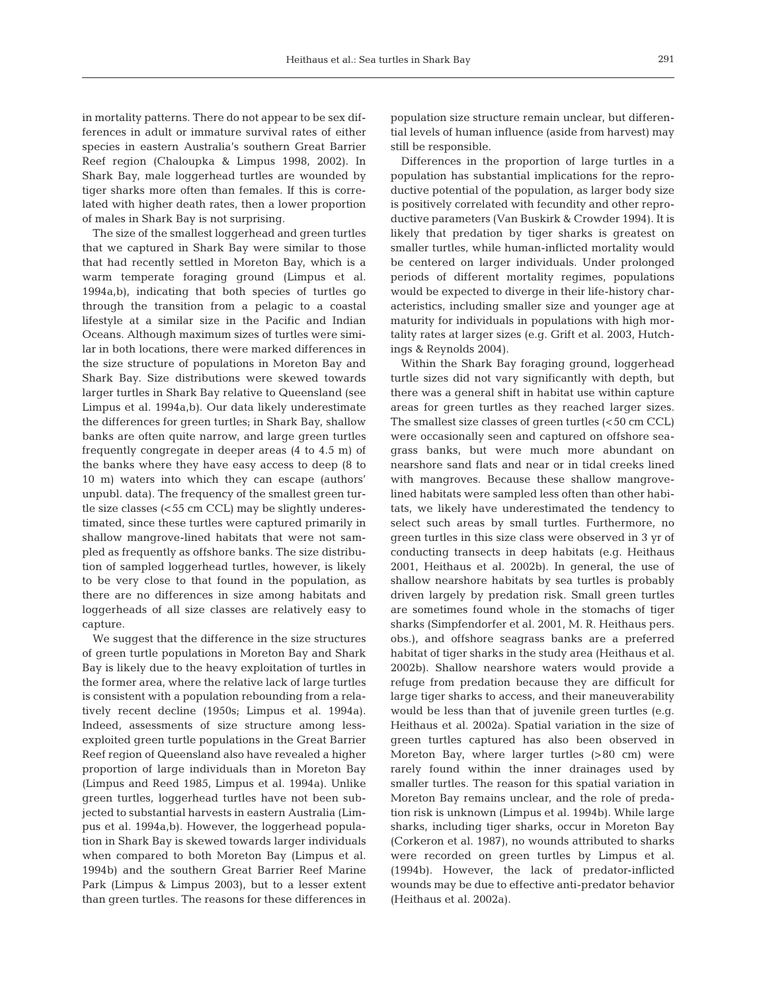in mortality patterns. There do not appear to be sex differences in adult or immature survival rates of either species in eastern Australia's southern Great Barrier Reef region (Chaloupka & Limpus 1998, 2002). In Shark Bay, male loggerhead turtles are wounded by tiger sharks more often than females. If this is correlated with higher death rates, then a lower proportion of males in Shark Bay is not surprising.

The size of the smallest loggerhead and green turtles that we captured in Shark Bay were similar to those that had recently settled in Moreton Bay, which is a warm temperate foraging ground (Limpus et al. 1994a,b), indicating that both species of turtles go through the transition from a pelagic to a coastal lifestyle at a similar size in the Pacific and Indian Oceans. Although maximum sizes of turtles were similar in both locations, there were marked differences in the size structure of populations in Moreton Bay and Shark Bay. Size distributions were skewed towards larger turtles in Shark Bay relative to Queensland (see Limpus et al. 1994a,b). Our data likely underestimate the differences for green turtles; in Shark Bay, shallow banks are often quite narrow, and large green turtles frequently congregate in deeper areas (4 to 4.5 m) of the banks where they have easy access to deep (8 to 10 m) waters into which they can escape (authors' unpubl. data). The frequency of the smallest green turtle size classes (<55 cm CCL) may be slightly underestimated, since these turtles were captured primarily in shallow mangrove-lined habitats that were not sampled as frequently as offshore banks. The size distribution of sampled loggerhead turtles, however, is likely to be very close to that found in the population, as there are no differences in size among habitats and loggerheads of all size classes are relatively easy to capture.

We suggest that the difference in the size structures of green turtle populations in Moreton Bay and Shark Bay is likely due to the heavy exploitation of turtles in the former area, where the relative lack of large turtles is consistent with a population rebounding from a relatively recent decline (1950s; Limpus et al. 1994a). Indeed, assessments of size structure among lessexploited green turtle populations in the Great Barrier Reef region of Queensland also have revealed a higher proportion of large individuals than in Moreton Bay (Limpus and Reed 1985, Limpus et al. 1994a). Unlike green turtles, loggerhead turtles have not been subjected to substantial harvests in eastern Australia (Limpus et al. 1994a,b). However, the loggerhead population in Shark Bay is skewed towards larger individuals when compared to both Moreton Bay (Limpus et al. 1994b) and the southern Great Barrier Reef Marine Park (Limpus & Limpus 2003), but to a lesser extent than green turtles. The reasons for these differences in

population size structure remain unclear, but differential levels of human influence (aside from harvest) may still be responsible.

Differences in the proportion of large turtles in a population has substantial implications for the reproductive potential of the population, as larger body size is positively correlated with fecundity and other reproductive parameters (Van Buskirk & Crowder 1994). It is likely that predation by tiger sharks is greatest on smaller turtles, while human-inflicted mortality would be centered on larger individuals. Under prolonged periods of different mortality regimes, populations would be expected to diverge in their life-history characteristics, including smaller size and younger age at maturity for individuals in populations with high mortality rates at larger sizes (e.g. Grift et al. 2003, Hutchings & Reynolds 2004).

Within the Shark Bay foraging ground, loggerhead turtle sizes did not vary significantly with depth, but there was a general shift in habitat use within capture areas for green turtles as they reached larger sizes. The smallest size classes of green turtles (<50 cm CCL) were occasionally seen and captured on offshore seagrass banks, but were much more abundant on nearshore sand flats and near or in tidal creeks lined with mangroves. Because these shallow mangrovelined habitats were sampled less often than other habitats, we likely have underestimated the tendency to select such areas by small turtles. Furthermore, no green turtles in this size class were observed in 3 yr of conducting transects in deep habitats (e.g. Heithaus 2001, Heithaus et al. 2002b). In general, the use of shallow nearshore habitats by sea turtles is probably driven largely by predation risk. Small green turtles are sometimes found whole in the stomachs of tiger sharks (Simpfendorfer et al. 2001, M. R. Heithaus pers. obs.), and offshore seagrass banks are a preferred habitat of tiger sharks in the study area (Heithaus et al. 2002b). Shallow nearshore waters would provide a refuge from predation because they are difficult for large tiger sharks to access, and their maneuverability would be less than that of juvenile green turtles (e.g. Heithaus et al. 2002a). Spatial variation in the size of green turtles captured has also been observed in Moreton Bay, where larger turtles (>80 cm) were rarely found within the inner drainages used by smaller turtles. The reason for this spatial variation in Moreton Bay remains unclear, and the role of predation risk is unknown (Limpus et al. 1994b). While large sharks, including tiger sharks, occur in Moreton Bay (Corkeron et al. 1987), no wounds attributed to sharks were recorded on green turtles by Limpus et al. (1994b). However, the lack of predator-inflicted wounds may be due to effective anti-predator behavior (Heithaus et al. 2002a).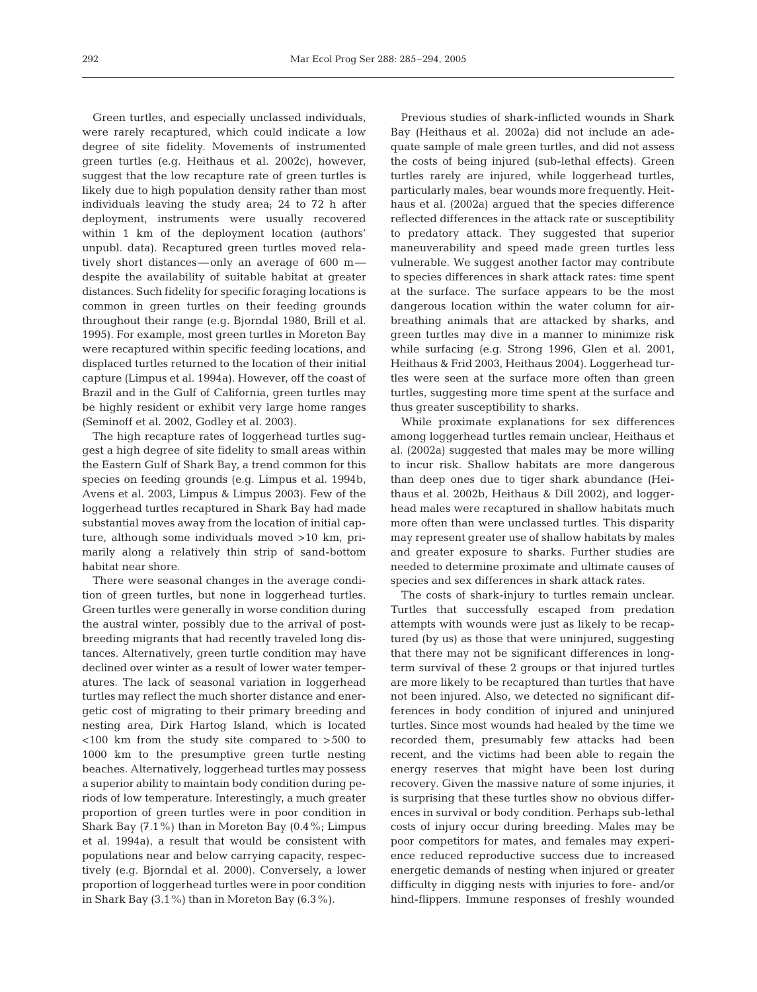Green turtles, and especially unclassed individuals, were rarely recaptured, which could indicate a low degree of site fidelity. Movements of instrumented green turtles (e.g. Heithaus et al. 2002c), however, suggest that the low recapture rate of green turtles is likely due to high population density rather than most individuals leaving the study area; 24 to 72 h after deployment, instruments were usually recovered within 1 km of the deployment location (authors' unpubl. data). Recaptured green turtles moved relatively short distances—only an average of 600 m despite the availability of suitable habitat at greater distances. Such fidelity for specific foraging locations is common in green turtles on their feeding grounds throughout their range (e.g. Bjorndal 1980, Brill et al. 1995). For example, most green turtles in Moreton Bay were recaptured within specific feeding locations, and displaced turtles returned to the location of their initial capture (Limpus et al. 1994a). However, off the coast of Brazil and in the Gulf of California, green turtles may be highly resident or exhibit very large home ranges (Seminoff et al. 2002, Godley et al. 2003).

The high recapture rates of loggerhead turtles suggest a high degree of site fidelity to small areas within the Eastern Gulf of Shark Bay, a trend common for this species on feeding grounds (e.g. Limpus et al. 1994b, Avens et al. 2003, Limpus & Limpus 2003). Few of the loggerhead turtles recaptured in Shark Bay had made substantial moves away from the location of initial capture, although some individuals moved >10 km, primarily along a relatively thin strip of sand-bottom habitat near shore.

There were seasonal changes in the average condition of green turtles, but none in loggerhead turtles. Green turtles were generally in worse condition during the austral winter, possibly due to the arrival of postbreeding migrants that had recently traveled long distances. Alternatively, green turtle condition may have declined over winter as a result of lower water temperatures. The lack of seasonal variation in loggerhead turtles may reflect the much shorter distance and energetic cost of migrating to their primary breeding and nesting area, Dirk Hartog Island, which is located <100 km from the study site compared to >500 to 1000 km to the presumptive green turtle nesting beaches. Alternatively, loggerhead turtles may possess a superior ability to maintain body condition during periods of low temperature. Interestingly, a much greater proportion of green turtles were in poor condition in Shark Bay (7.1%) than in Moreton Bay (0.4%; Limpus et al. 1994a), a result that would be consistent with populations near and below carrying capacity, respectively (e.g. Bjorndal et al. 2000). Conversely, a lower proportion of loggerhead turtles were in poor condition in Shark Bay (3.1%) than in Moreton Bay (6.3%).

Previous studies of shark-inflicted wounds in Shark Bay (Heithaus et al. 2002a) did not include an adequate sample of male green turtles, and did not assess the costs of being injured (sub-lethal effects). Green turtles rarely are injured, while loggerhead turtles, particularly males, bear wounds more frequently. Heithaus et al. (2002a) argued that the species difference reflected differences in the attack rate or susceptibility to predatory attack. They suggested that superior maneuverability and speed made green turtles less vulnerable. We suggest another factor may contribute to species differences in shark attack rates: time spent at the surface. The surface appears to be the most dangerous location within the water column for airbreathing animals that are attacked by sharks, and green turtles may dive in a manner to minimize risk while surfacing (e.g. Strong 1996, Glen et al. 2001, Heithaus & Frid 2003, Heithaus 2004). Loggerhead turtles were seen at the surface more often than green turtles, suggesting more time spent at the surface and thus greater susceptibility to sharks.

While proximate explanations for sex differences among loggerhead turtles remain unclear, Heithaus et al. (2002a) suggested that males may be more willing to incur risk. Shallow habitats are more dangerous than deep ones due to tiger shark abundance (Heithaus et al. 2002b, Heithaus & Dill 2002), and loggerhead males were recaptured in shallow habitats much more often than were unclassed turtles. This disparity may represent greater use of shallow habitats by males and greater exposure to sharks. Further studies are needed to determine proximate and ultimate causes of species and sex differences in shark attack rates.

The costs of shark-injury to turtles remain unclear. Turtles that successfully escaped from predation attempts with wounds were just as likely to be recaptured (by us) as those that were uninjured, suggesting that there may not be significant differences in longterm survival of these 2 groups or that injured turtles are more likely to be recaptured than turtles that have not been injured. Also, we detected no significant differences in body condition of injured and uninjured turtles. Since most wounds had healed by the time we recorded them, presumably few attacks had been recent, and the victims had been able to regain the energy reserves that might have been lost during recovery. Given the massive nature of some injuries, it is surprising that these turtles show no obvious differences in survival or body condition. Perhaps sub-lethal costs of injury occur during breeding. Males may be poor competitors for mates, and females may experience reduced reproductive success due to increased energetic demands of nesting when injured or greater difficulty in digging nests with injuries to fore- and/or hind-flippers. Immune responses of freshly wounded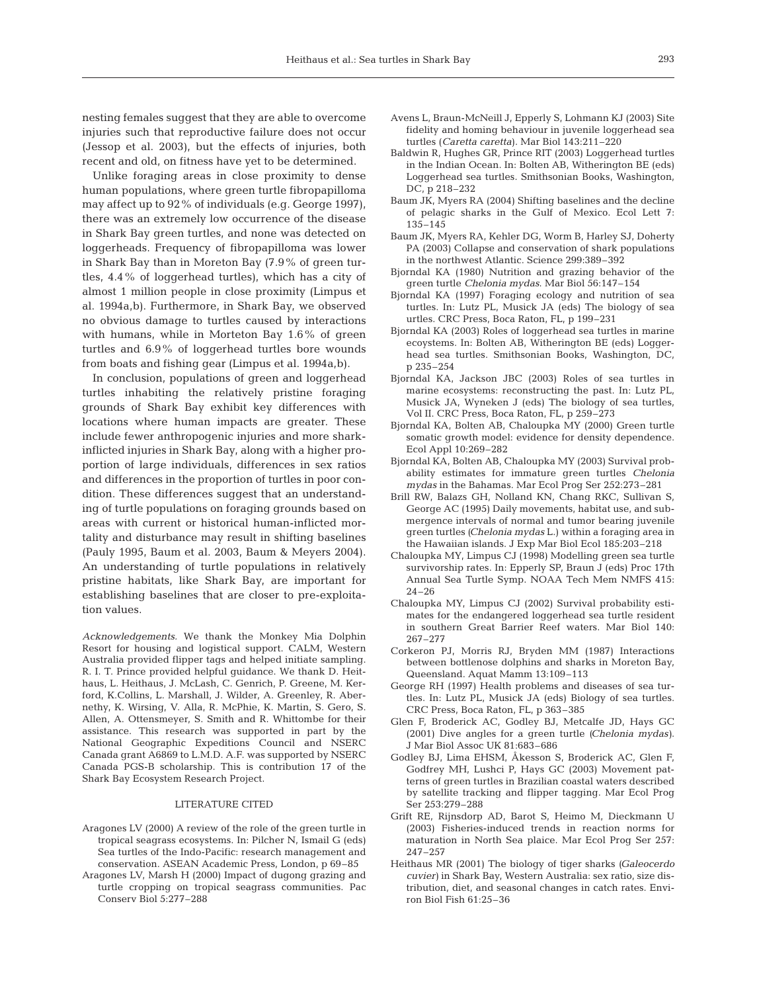nesting females suggest that they are able to overcome injuries such that reproductive failure does not occur (Jessop et al. 2003), but the effects of injuries, both recent and old, on fitness have yet to be determined.

Unlike foraging areas in close proximity to dense human populations, where green turtle fibropapilloma may affect up to 92% of individuals (e.g. George 1997), there was an extremely low occurrence of the disease in Shark Bay green turtles, and none was detected on loggerheads. Frequency of fibropapilloma was lower in Shark Bay than in Moreton Bay (7.9% of green turtles, 4.4% of loggerhead turtles), which has a city of almost 1 million people in close proximity (Limpus et al. 1994a,b). Furthermore, in Shark Bay, we observed no obvious damage to turtles caused by interactions with humans, while in Morteton Bay 1.6% of green turtles and 6.9% of loggerhead turtles bore wounds from boats and fishing gear (Limpus et al. 1994a,b).

In conclusion, populations of green and loggerhead turtles inhabiting the relatively pristine foraging grounds of Shark Bay exhibit key differences with locations where human impacts are greater. These include fewer anthropogenic injuries and more sharkinflicted injuries in Shark Bay, along with a higher proportion of large individuals, differences in sex ratios and differences in the proportion of turtles in poor condition. These differences suggest that an understanding of turtle populations on foraging grounds based on areas with current or historical human-inflicted mortality and disturbance may result in shifting baselines (Pauly 1995, Baum et al. 2003, Baum & Meyers 2004). An understanding of turtle populations in relatively pristine habitats, like Shark Bay, are important for establishing baselines that are closer to pre-exploitation values.

*Acknowledgements.* We thank the Monkey Mia Dolphin Resort for housing and logistical support. CALM, Western Australia provided flipper tags and helped initiate sampling. R. I. T. Prince provided helpful guidance. We thank D. Heithaus, L. Heithaus, J. McLash, C. Genrich, P. Greene, M. Kerford, K.Collins, L. Marshall, J. Wilder, A. Greenley, R. Abernethy, K. Wirsing, V. Alla, R. McPhie, K. Martin, S. Gero, S. Allen, A. Ottensmeyer, S. Smith and R. Whittombe for their assistance. This research was supported in part by the National Geographic Expeditions Council and NSERC Canada grant A6869 to L.M.D. A.F. was supported by NSERC Canada PGS-B scholarship. This is contribution 17 of the Shark Bay Ecosystem Research Project.

## LITERATURE CITED

- Aragones LV (2000) A review of the role of the green turtle in tropical seagrass ecosystems. In: Pilcher N, Ismail G (eds) Sea turtles of the Indo-Pacific: research management and conservation. ASEAN Academic Press, London, p 69–85
- Aragones LV, Marsh H (2000) Impact of dugong grazing and turtle cropping on tropical seagrass communities. Pac Conserv Biol 5:277–288
- Avens L, Braun-McNeill J, Epperly S, Lohmann KJ (2003) Site fidelity and homing behaviour in juvenile loggerhead sea turtles (*Caretta caretta*). Mar Biol 143:211–220
- Baldwin R, Hughes GR, Prince RIT (2003) Loggerhead turtles in the Indian Ocean. In: Bolten AB, Witherington BE (eds) Loggerhead sea turtles. Smithsonian Books, Washington, DC, p 218–232
- Baum JK, Myers RA (2004) Shifting baselines and the decline of pelagic sharks in the Gulf of Mexico. Ecol Lett 7: 135–145
- Baum JK, Myers RA, Kehler DG, Worm B, Harley SJ, Doherty PA (2003) Collapse and conservation of shark populations in the northwest Atlantic. Science 299:389–392
- Bjorndal KA (1980) Nutrition and grazing behavior of the green turtle *Chelonia mydas*. Mar Biol 56:147–154
- Bjorndal KA (1997) Foraging ecology and nutrition of sea turtles. In: Lutz PL, Musick JA (eds) The biology of sea urtles. CRC Press, Boca Raton, FL, p 199–231
- Bjorndal KA (2003) Roles of loggerhead sea turtles in marine ecoystems. In: Bolten AB, Witherington BE (eds) Loggerhead sea turtles. Smithsonian Books, Washington, DC, p 235–254
- Bjorndal KA, Jackson JBC (2003) Roles of sea turtles in marine ecosystems: reconstructing the past. In: Lutz PL, Musick JA, Wyneken J (eds) The biology of sea turtles, Vol II. CRC Press, Boca Raton, FL, p 259–273
- Bjorndal KA, Bolten AB, Chaloupka MY (2000) Green turtle somatic growth model: evidence for density dependence. Ecol Appl 10:269–282
- Bjorndal KA, Bolten AB, Chaloupka MY (2003) Survival probability estimates for immature green turtles *Chelonia mydas* in the Bahamas. Mar Ecol Prog Ser 252:273–281
- Brill RW, Balazs GH, Nolland KN, Chang RKC, Sullivan S, George AC (1995) Daily movements, habitat use, and submergence intervals of normal and tumor bearing juvenile green turtles *(Chelonia mydas* L.) within a foraging area in the Hawaiian islands. J Exp Mar Biol Ecol 185:203–218
- Chaloupka MY, Limpus CJ (1998) Modelling green sea turtle survivorship rates. In: Epperly SP, Braun J (eds) Proc 17th Annual Sea Turtle Symp. NOAA Tech Mem NMFS 415: 24–26
- Chaloupka MY, Limpus CJ (2002) Survival probability estimates for the endangered loggerhead sea turtle resident in southern Great Barrier Reef waters. Mar Biol 140: 267–277
- Corkeron PJ, Morris RJ, Bryden MM (1987) Interactions between bottlenose dolphins and sharks in Moreton Bay, Queensland. Aquat Mamm 13:109–113
- George RH (1997) Health problems and diseases of sea turtles. In: Lutz PL, Musick JA (eds) Biology of sea turtles. CRC Press, Boca Raton, FL, p 363–385
- Glen F, Broderick AC, Godley BJ, Metcalfe JD, Hays GC (2001) Dive angles for a green turtle *(Chelonia mydas)*. J Mar Biol Assoc UK 81:683–686
- Godley BJ, Lima EHSM, Åkesson S, Broderick AC, Glen F, Godfrey MH, Lushci P, Hays GC (2003) Movement patterns of green turtles in Brazilian coastal waters described by satellite tracking and flipper tagging. Mar Ecol Prog Ser 253:279–288
- Grift RE, Rijnsdorp AD, Barot S, Heimo M, Dieckmann U (2003) Fisheries-induced trends in reaction norms for maturation in North Sea plaice. Mar Ecol Prog Ser 257: 247–257
- Heithaus MR (2001) The biology of tiger sharks *(Galeocerdo cuvier)* in Shark Bay, Western Australia: sex ratio, size distribution, diet, and seasonal changes in catch rates. Environ Biol Fish 61:25–36